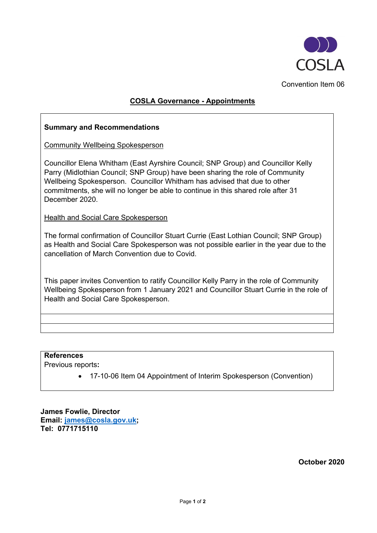

# **COSLA Governance - Appointments**

## **Summary and Recommendations**

Community Wellbeing Spokesperson

Councillor Elena Whitham (East Ayrshire Council; SNP Group) and Councillor Kelly Parry (Midlothian Council; SNP Group) have been sharing the role of Community Wellbeing Spokesperson. Councillor Whitham has advised that due to other commitments, she will no longer be able to continue in this shared role after 31 December 2020.

**Health and Social Care Spokesperson** 

The formal confirmation of Councillor Stuart Currie (East Lothian Council; SNP Group) as Health and Social Care Spokesperson was not possible earlier in the year due to the cancellation of March Convention due to Covid.

This paper invites Convention to ratify Councillor Kelly Parry in the role of Community Wellbeing Spokesperson from 1 January 2021 and Councillor Stuart Currie in the role of Health and Social Care Spokesperson.

### **References**

Previous reports**:**

• 17-10-06 Item 04 Appointment of Interim Spokesperson (Convention)

**James Fowlie, Director Email: [james@cosla.gov.uk;](mailto:james@cosla.gov.uk) Tel: 0771715110**

**October 2020**